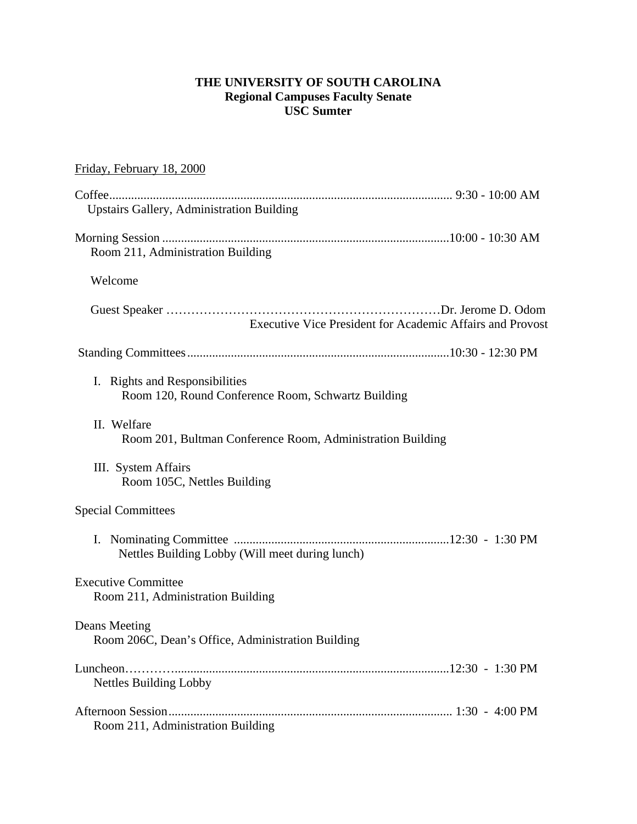# **THE UNIVERSITY OF SOUTH CAROLINA Regional Campuses Faculty Senate USC Sumter**

# Friday, February 18, 2000 Coffee .............................................................................................................. 9:30 - 10:00 AM Upstairs Gallery, Administration Building Morning Session ............................................................................................10:00 - 10:30 AM Room 211, Administration Building Welcome Guest Speaker …………………………………………………………Dr. Jerome D. Odom Executive Vice President for Academic Affairs and Provost Standing Committees ....................................................................................10:30 - 12:30 PM I. Rights and Responsibilities Room 120, Round Conference Room, Schwartz Building II. Welfare Room 201, Bultman Conference Room, Administration Building III. System Affairs Room 105C, Nettles Building Special Committees I. Nominating Committee .....................................................................12:30 - 1:30 PM Nettles Building Lobby (Will meet during lunch) Executive Committee Room 211, Administration Building Deans Meeting Room 206C, Dean's Office, Administration Building Luncheon…………........................................................................................12:30 - 1:30 PM Nettles Building Lobby Afternoon Session ........................................................................................... 1:30 - 4:00 PM Room 211, Administration Building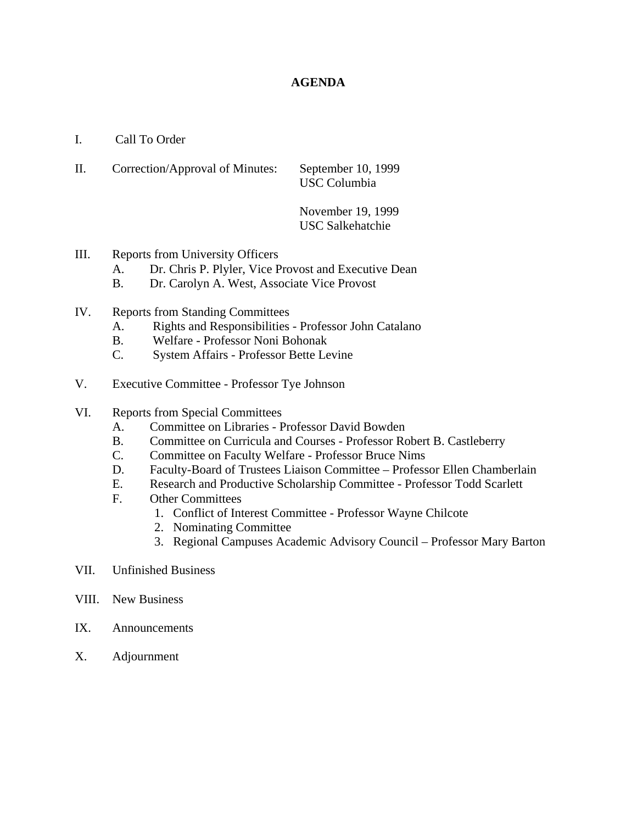# **AGENDA**

- I. Call To Order
- II. Correction/Approval of Minutes: September 10, 1999 USC Columbia

 November 19, 1999 USC Salkehatchie

- III. Reports from University Officers
	- A. Dr. Chris P. Plyler, Vice Provost and Executive Dean
	- B. Dr. Carolyn A. West, Associate Vice Provost
- IV. Reports from Standing Committees
	- A. Rights and Responsibilities Professor John Catalano
	- B. Welfare Professor Noni Bohonak
	- C. System Affairs Professor Bette Levine
- V. Executive Committee Professor Tye Johnson
- VI. Reports from Special Committees
	- A. Committee on Libraries Professor David Bowden
	- B. Committee on Curricula and Courses Professor Robert B. Castleberry
	- C. Committee on Faculty Welfare Professor Bruce Nims
	- D. Faculty-Board of Trustees Liaison Committee Professor Ellen Chamberlain
	- E. Research and Productive Scholarship Committee Professor Todd Scarlett
	- F. Other Committees
		- 1. Conflict of Interest Committee Professor Wayne Chilcote
		- 2. Nominating Committee
		- 3. Regional Campuses Academic Advisory Council Professor Mary Barton
- VII. Unfinished Business
- VIII. New Business
- IX. Announcements
- X. Adjournment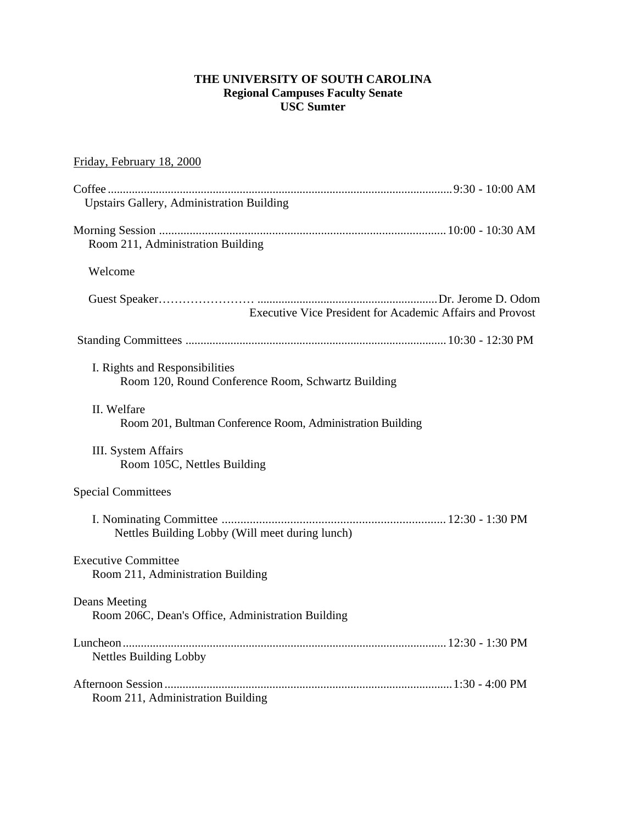# **THE UNIVERSITY OF SOUTH CAROLINA Regional Campuses Faculty Senate USC Sumter**

# Friday, February 18, 2000

| <b>Upstairs Gallery, Administration Building</b>                                     |  |
|--------------------------------------------------------------------------------------|--|
| Room 211, Administration Building                                                    |  |
| Welcome                                                                              |  |
| Executive Vice President for Academic Affairs and Provost                            |  |
|                                                                                      |  |
| I. Rights and Responsibilities<br>Room 120, Round Conference Room, Schwartz Building |  |
| II. Welfare<br>Room 201, Bultman Conference Room, Administration Building            |  |
| III. System Affairs<br>Room 105C, Nettles Building                                   |  |
| <b>Special Committees</b>                                                            |  |
| Nettles Building Lobby (Will meet during lunch)                                      |  |
| <b>Executive Committee</b><br>Room 211, Administration Building                      |  |
| Deans Meeting<br>Room 206C, Dean's Office, Administration Building                   |  |
| <b>Nettles Building Lobby</b>                                                        |  |
|                                                                                      |  |
| Room 211, Administration Building                                                    |  |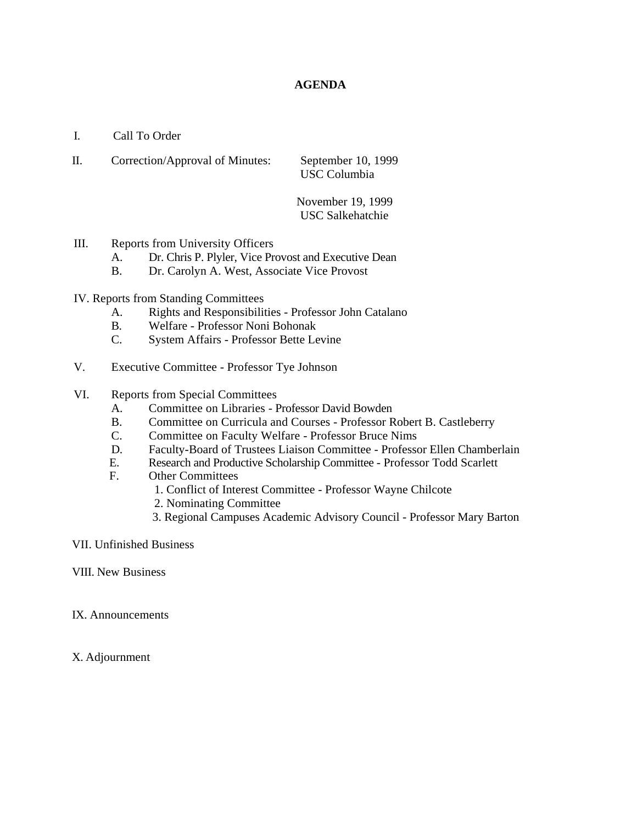# **AGENDA**

- I. Call To Order
- II. Correction/Approval of Minutes: September 10, 1999 USC Columbia

November 19, 1999 USC Salkehatchie

# III. Reports from University Officers

- A. Dr. Chris P. Plyler, Vice Provost and Executive Dean
- B. Dr. Carolyn A. West, Associate Vice Provost

# IV. Reports from Standing Committees

- A. Rights and Responsibilities Professor John Catalano
- B. Welfare Professor Noni Bohonak
- C. System Affairs Professor Bette Levine
- V. Executive Committee Professor Tye Johnson

# VI. Reports from Special Committees

- A. Committee on Libraries Professor David Bowden
- B. Committee on Curricula and Courses Professor Robert B. Castleberry
- C. Committee on Faculty Welfare Professor Bruce Nims
- D. Faculty-Board of Trustees Liaison Committee Professor Ellen Chamberlain
- E. Research and Productive Scholarship Committee Professor Todd Scarlett
- F. Other Committees
	- 1. Conflict of Interest Committee Professor Wayne Chilcote
	- 2. Nominating Committee
	- 3. Regional Campuses Academic Advisory Council Professor Mary Barton

## VII. Unfinished Business

- VIII. New Business
- IX. Announcements
- X. Adjournment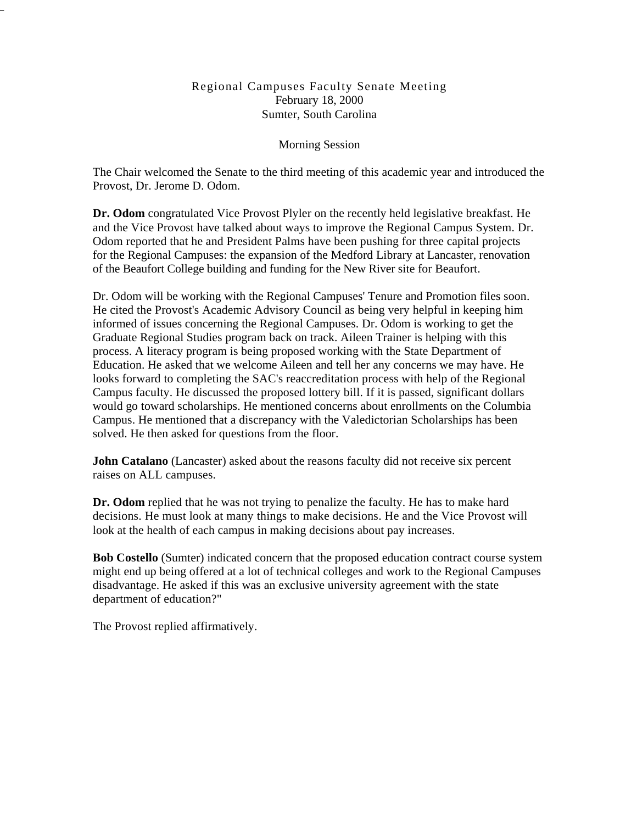# Regional Campuses Faculty Senate Meeting February 18, 2000 Sumter, South Carolina

# Morning Session

The Chair welcomed the Senate to the third meeting of this academic year and introduced the Provost, Dr. Jerome D. Odom.

**Dr. Odom** congratulated Vice Provost Plyler on the recently held legislative breakfast. He and the Vice Provost have talked about ways to improve the Regional Campus System. Dr. Odom reported that he and President Palms have been pushing for three capital projects for the Regional Campuses: the expansion of the Medford Library at Lancaster, renovation of the Beaufort College building and funding for the New River site for Beaufort.

Dr. Odom will be working with the Regional Campuses' Tenure and Promotion files soon. He cited the Provost's Academic Advisory Council as being very helpful in keeping him informed of issues concerning the Regional Campuses. Dr. Odom is working to get the Graduate Regional Studies program back on track. Aileen Trainer is helping with this process. A literacy program is being proposed working with the State Department of Education. He asked that we welcome Aileen and tell her any concerns we may have. He looks forward to completing the SAC's reaccreditation process with help of the Regional Campus faculty. He discussed the proposed lottery bill. If it is passed, significant dollars would go toward scholarships. He mentioned concerns about enrollments on the Columbia Campus. He mentioned that a discrepancy with the Valedictorian Scholarships has been solved. He then asked for questions from the floor.

**John Catalano** (Lancaster) asked about the reasons faculty did not receive six percent raises on ALL campuses.

Dr. Odom replied that he was not trying to penalize the faculty. He has to make hard decisions. He must look at many things to make decisions. He and the Vice Provost will look at the health of each campus in making decisions about pay increases.

**Bob Costello** (Sumter) indicated concern that the proposed education contract course system might end up being offered at a lot of technical colleges and work to the Regional Campuses disadvantage. He asked if this was an exclusive university agreement with the state department of education?"

The Provost replied affirmatively.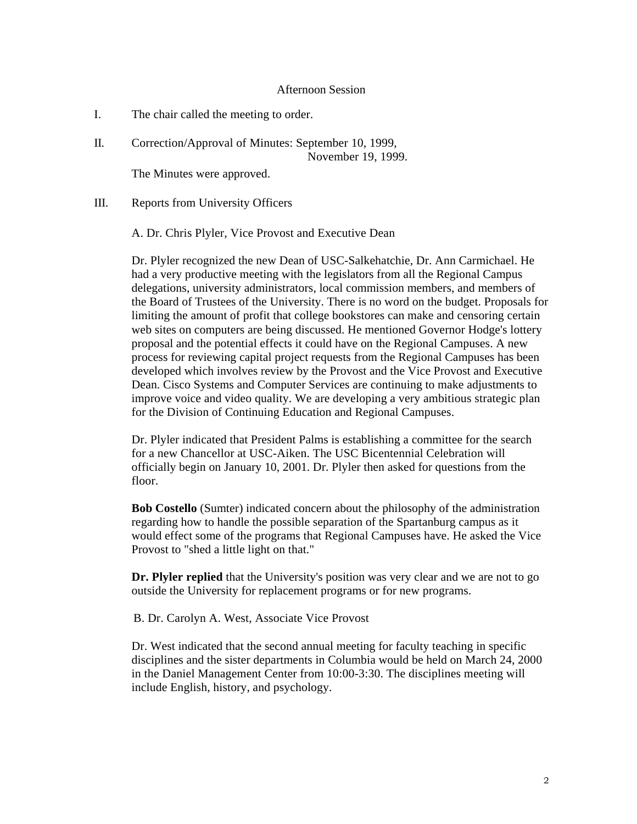#### Afternoon Session

- I. The chair called the meeting to order.
- II. Correction/Approval of Minutes: September 10, 1999, November 19, 1999.

The Minutes were approved.

III. Reports from University Officers

A. Dr. Chris Plyler, Vice Provost and Executive Dean

Dr. Plyler recognized the new Dean of USC-Salkehatchie, Dr. Ann Carmichael. He had a very productive meeting with the legislators from all the Regional Campus delegations, university administrators, local commission members, and members of the Board of Trustees of the University. There is no word on the budget. Proposals for limiting the amount of profit that college bookstores can make and censoring certain web sites on computers are being discussed. He mentioned Governor Hodge's lottery proposal and the potential effects it could have on the Regional Campuses. A new process for reviewing capital project requests from the Regional Campuses has been developed which involves review by the Provost and the Vice Provost and Executive Dean. Cisco Systems and Computer Services are continuing to make adjustments to improve voice and video quality. We are developing a very ambitious strategic plan for the Division of Continuing Education and Regional Campuses.

Dr. Plyler indicated that President Palms is establishing a committee for the search for a new Chancellor at USC-Aiken. The USC Bicentennial Celebration will officially begin on January 10, 2001. Dr. Plyler then asked for questions from the floor.

**Bob Costello** (Sumter) indicated concern about the philosophy of the administration regarding how to handle the possible separation of the Spartanburg campus as it would effect some of the programs that Regional Campuses have. He asked the Vice Provost to "shed a little light on that."

**Dr. Plyler replied** that the University's position was very clear and we are not to go outside the University for replacement programs or for new programs.

B. Dr. Carolyn A. West, Associate Vice Provost

Dr. West indicated that the second annual meeting for faculty teaching in specific disciplines and the sister departments in Columbia would be held on March 24, 2000 in the Daniel Management Center from 10:00-3:30. The disciplines meeting will include English, history, and psychology.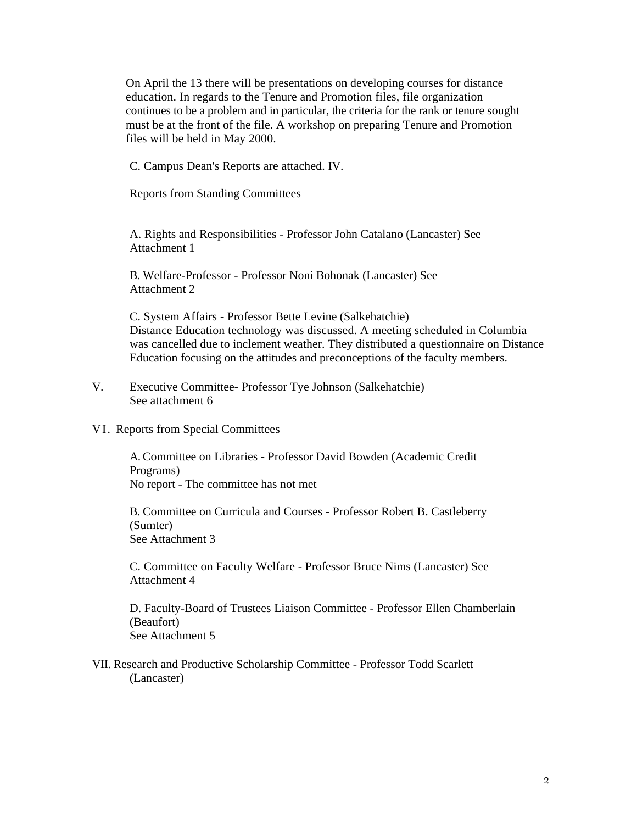On April the 13 there will be presentations on developing courses for distance education. In regards to the Tenure and Promotion files, file organization continues to be a problem and in particular, the criteria for the rank or tenure sought must be at the front of the file. A workshop on preparing Tenure and Promotion files will be held in May 2000.

C. Campus Dean's Reports are attached. IV.

Reports from Standing Committees

A. Rights and Responsibilities - Professor John Catalano (Lancaster) See Attachment 1

B. Welfare-Professor - Professor Noni Bohonak (Lancaster) See Attachment 2

C. System Affairs - Professor Bette Levine (Salkehatchie) Distance Education technology was discussed. A meeting scheduled in Columbia was cancelled due to inclement weather. They distributed a questionnaire on Distance Education focusing on the attitudes and preconceptions of the faculty members.

- V. Executive Committee- Professor Tye Johnson (Salkehatchie) See attachment 6
- VI. Reports from Special Committees

A. Committee on Libraries - Professor David Bowden (Academic Credit Programs) No report - The committee has not met

B. Committee on Curricula and Courses - Professor Robert B. Castleberry (Sumter) See Attachment 3

C. Committee on Faculty Welfare - Professor Bruce Nims (Lancaster) See Attachment 4

D. Faculty-Board of Trustees Liaison Committee - Professor Ellen Chamberlain (Beaufort) See Attachment 5

VII. Research and Productive Scholarship Committee - Professor Todd Scarlett (Lancaster)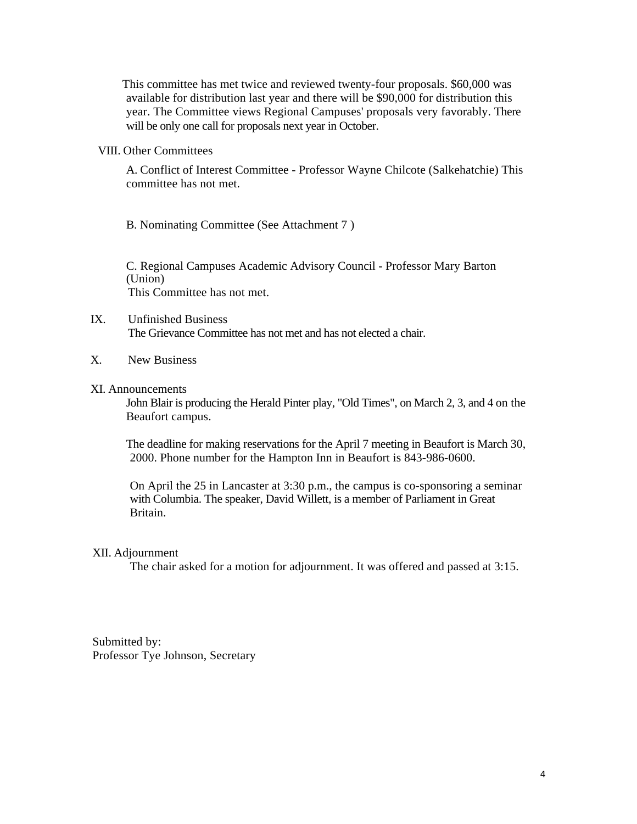This committee has met twice and reviewed twenty-four proposals. \$60,000 was available for distribution last year and there will be \$90,000 for distribution this year. The Committee views Regional Campuses' proposals very favorably. There will be only one call for proposals next year in October.

#### VIII. Other Committees

A. Conflict of Interest Committee - Professor Wayne Chilcote (Salkehatchie) This committee has not met.

B. Nominating Committee (See Attachment 7 )

C. Regional Campuses Academic Advisory Council - Professor Mary Barton (Union) This Committee has not met.

## IX. Unfinished Business The Grievance Committee has not met and has not elected a chair.

X. New Business

## XI. Announcements

John Blair is producing the Herald Pinter play, "Old Times", on March 2, 3, and 4 on the Beaufort campus.

The deadline for making reservations for the April 7 meeting in Beaufort is March 30, 2000. Phone number for the Hampton Inn in Beaufort is 843-986-0600.

On April the 25 in Lancaster at 3:30 p.m., the campus is co-sponsoring a seminar with Columbia. The speaker, David Willett, is a member of Parliament in Great Britain.

#### XII. Adjournment

The chair asked for a motion for adjournment. It was offered and passed at 3:15.

Submitted by: Professor Tye Johnson, Secretary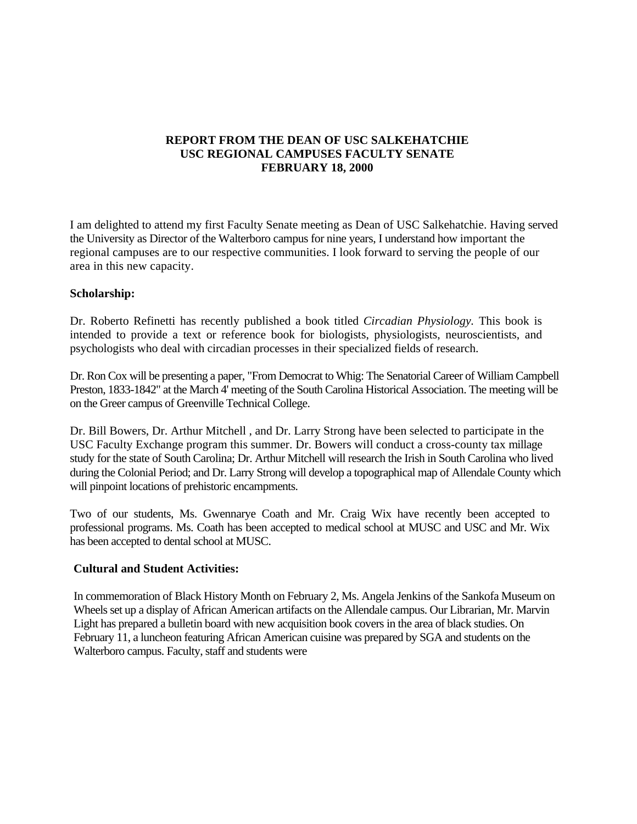# **REPORT FROM THE DEAN OF USC SALKEHATCHIE USC REGIONAL CAMPUSES FACULTY SENATE FEBRUARY 18, 2000**

I am delighted to attend my first Faculty Senate meeting as Dean of USC Salkehatchie. Having served the University as Director of the Walterboro campus for nine years, I understand how important the regional campuses are to our respective communities. I look forward to serving the people of our area in this new capacity.

# **Scholarship:**

Dr. Roberto Refinetti has recently published a book titled *Circadian Physiology.* This book is intended to provide a text or reference book for biologists, physiologists, neuroscientists, and psychologists who deal with circadian processes in their specialized fields of research.

Dr. Ron Cox will be presenting a paper, "From Democrat to Whig: The Senatorial Career of William Campbell Preston, 1833-1842" at the March 4' meeting of the South Carolina Historical Association. The meeting will be on the Greer campus of Greenville Technical College.

Dr. Bill Bowers, Dr. Arthur Mitchell , and Dr. Larry Strong have been selected to participate in the USC Faculty Exchange program this summer. Dr. Bowers will conduct a cross-county tax millage study for the state of South Carolina; Dr. Arthur Mitchell will research the Irish in South Carolina who lived during the Colonial Period; and Dr. Larry Strong will develop a topographical map of Allendale County which will pinpoint locations of prehistoric encampments.

Two of our students, Ms. Gwennarye Coath and Mr. Craig Wix have recently been accepted to professional programs. Ms. Coath has been accepted to medical school at MUSC and USC and Mr. Wix has been accepted to dental school at MUSC.

## **Cultural and Student Activities:**

In commemoration of Black History Month on February 2, Ms. Angela Jenkins of the Sankofa Museum on Wheels set up a display of African American artifacts on the Allendale campus. Our Librarian, Mr. Marvin Light has prepared a bulletin board with new acquisition book covers in the area of black studies. On February 11, a luncheon featuring African American cuisine was prepared by SGA and students on the Walterboro campus. Faculty, staff and students were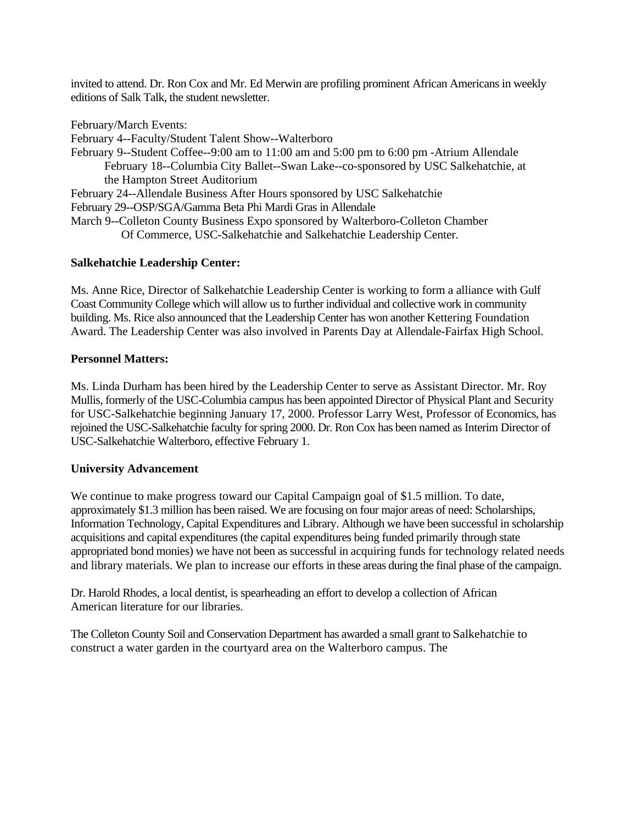invited to attend. Dr. Ron Cox and Mr. Ed Merwin are profiling prominent African Americans in weekly editions of Salk Talk, the student newsletter.

February/March Events:

February 4--Faculty/Student Talent Show--Walterboro

February 9--Student Coffee--9:00 am to 11:00 am and 5:00 pm to 6:00 pm -Atrium Allendale February 18--Columbia City Ballet--Swan Lake--co-sponsored by USC Salkehatchie, at the Hampton Street Auditorium

February 24--Allendale Business After Hours sponsored by USC Salkehatchie

February 29--OSP/SGA/Gamma Beta Phi Mardi Gras in Allendale

March 9--Colleton County Business Expo sponsored by Walterboro-Colleton Chamber Of Commerce, USC-Salkehatchie and Salkehatchie Leadership Center.

# **Salkehatchie Leadership Center:**

Ms. Anne Rice, Director of Salkehatchie Leadership Center is working to form a alliance with Gulf Coast Community College which will allow us to further individual and collective work in community building. Ms. Rice also announced that the Leadership Center has won another Kettering Foundation Award. The Leadership Center was also involved in Parents Day at Allendale-Fairfax High School.

# **Personnel Matters:**

Ms. Linda Durham has been hired by the Leadership Center to serve as Assistant Director. Mr. Roy Mullis, formerly of the USC-Columbia campus has been appointed Director of Physical Plant and Security for USC-Salkehatchie beginning January 17, 2000. Professor Larry West, Professor of Economics, has rejoined the USC-Salkehatchie faculty for spring 2000. Dr. Ron Cox has been named as Interim Director of USC-Salkehatchie Walterboro, effective February 1.

# **University Advancement**

We continue to make progress toward our Capital Campaign goal of \$1.5 million. To date, approximately \$1.3 million has been raised. We are focusing on four major areas of need: Scholarships, Information Technology, Capital Expenditures and Library. Although we have been successful in scholarship acquisitions and capital expenditures (the capital expenditures being funded primarily through state appropriated bond monies) we have not been as successful in acquiring funds for technology related needs and library materials. We plan to increase our efforts in these areas during the final phase of the campaign.

Dr. Harold Rhodes, a local dentist, is spearheading an effort to develop a collection of African American literature for our libraries.

The Colleton County Soil and Conservation Department has awarded a small grant to Salkehatchie to construct a water garden in the courtyard area on the Walterboro campus. The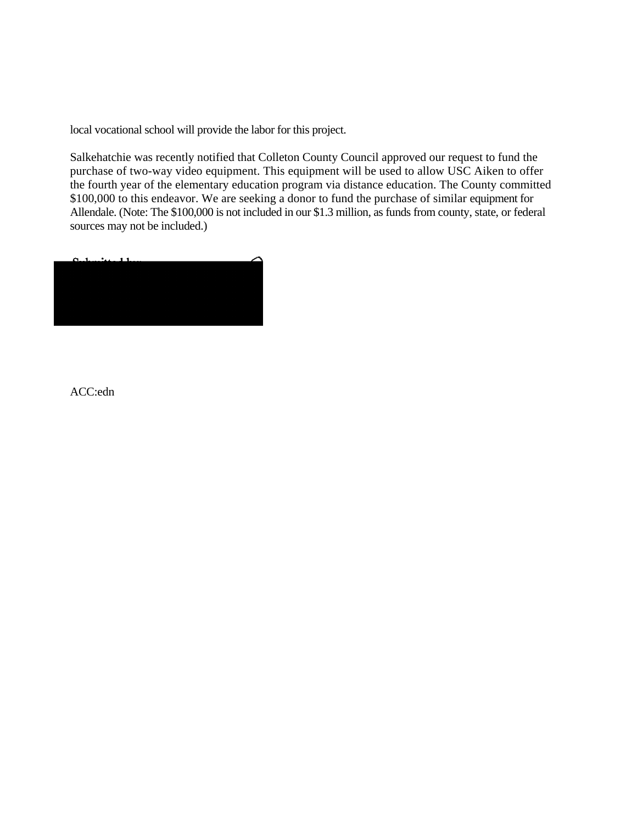local vocational school will provide the labor for this project.

Salkehatchie was recently notified that Colleton County Council approved our request to fund the purchase of two-way video equipment. This equipment will be used to allow USC Aiken to offer the fourth year of the elementary education program via distance education. The County committed \$100,000 to this endeavor. We are seeking a donor to fund the purchase of similar equipment for Allendale. (Note: The \$100,000 is not included in our \$1.3 million, as funds from county, state, or federal sources may not be included.)



ACC:edn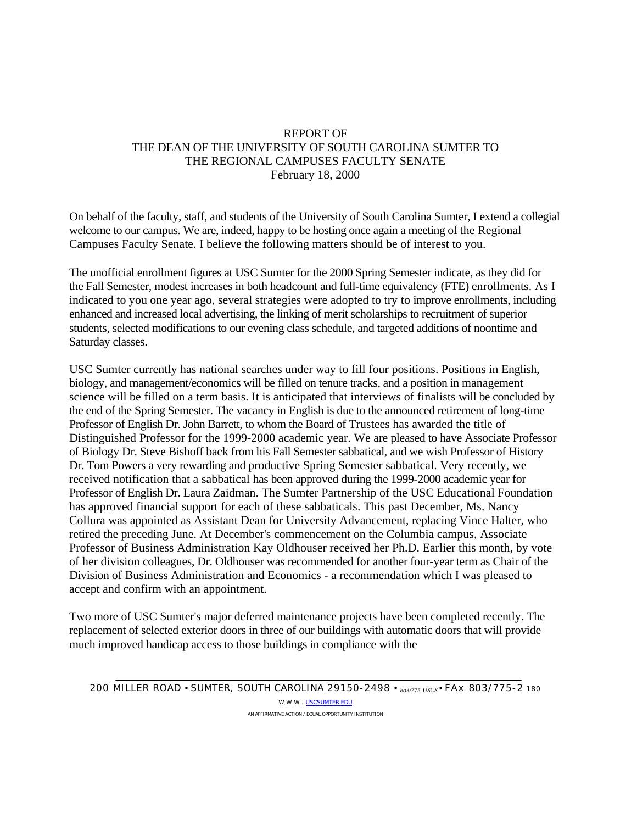# REPORT OF THE DEAN OF THE UNIVERSITY OF SOUTH CAROLINA SUMTER TO THE REGIONAL CAMPUSES FACULTY SENATE February 18, 2000

On behalf of the faculty, staff, and students of the University of South Carolina Sumter, I extend a collegial welcome to our campus. We are, indeed, happy to be hosting once again a meeting of the Regional Campuses Faculty Senate. I believe the following matters should be of interest to you.

The unofficial enrollment figures at USC Sumter for the 2000 Spring Semester indicate, as they did for the Fall Semester, modest increases in both headcount and full-time equivalency (FTE) enrollments. As I indicated to you one year ago, several strategies were adopted to try to improve enrollments, including enhanced and increased local advertising, the linking of merit scholarships to recruitment of superior students, selected modifications to our evening class schedule, and targeted additions of noontime and Saturday classes.

USC Sumter currently has national searches under way to fill four positions. Positions in English, biology, and management/economics will be filled on tenure tracks, and a position in management science will be filled on a term basis. It is anticipated that interviews of finalists will be concluded by the end of the Spring Semester. The vacancy in English is due to the announced retirement of long-time Professor of English Dr. John Barrett, to whom the Board of Trustees has awarded the title of Distinguished Professor for the 1999-2000 academic year. We are pleased to have Associate Professor of Biology Dr. Steve Bishoff back from his Fall Semester sabbatical, and we wish Professor of History Dr. Tom Powers a very rewarding and productive Spring Semester sabbatical. Very recently, we received notification that a sabbatical has been approved during the 1999-2000 academic year for Professor of English Dr. Laura Zaidman. The Sumter Partnership of the USC Educational Foundation has approved financial support for each of these sabbaticals. This past December, Ms. Nancy Collura was appointed as Assistant Dean for University Advancement, replacing Vince Halter, who retired the preceding June. At December's commencement on the Columbia campus, Associate Professor of Business Administration Kay Oldhouser received her Ph.D. Earlier this month, by vote of her division colleagues, Dr. Oldhouser was recommended for another four-year term as Chair of the Division of Business Administration and Economics - a recommendation which I was pleased to accept and confirm with an appointment.

Two more of USC Sumter's major deferred maintenance projects have been completed recently. The replacement of selected exterior doors in three of our buildings with automatic doors that will provide much improved handicap access to those buildings in compliance with the

W W W . [USCSUMTER.EDU](http://uscsumter.edu/) AN AFFIRMATIVE ACTION / EQUAL OPPORTUNITY INSTITUTION

*<sup>200</sup>* MILLER ROAD • SUMTER, SOUTH CAROLINA *29150-2498 • 8o3/775-USCS •* FAx *803/775-2 180*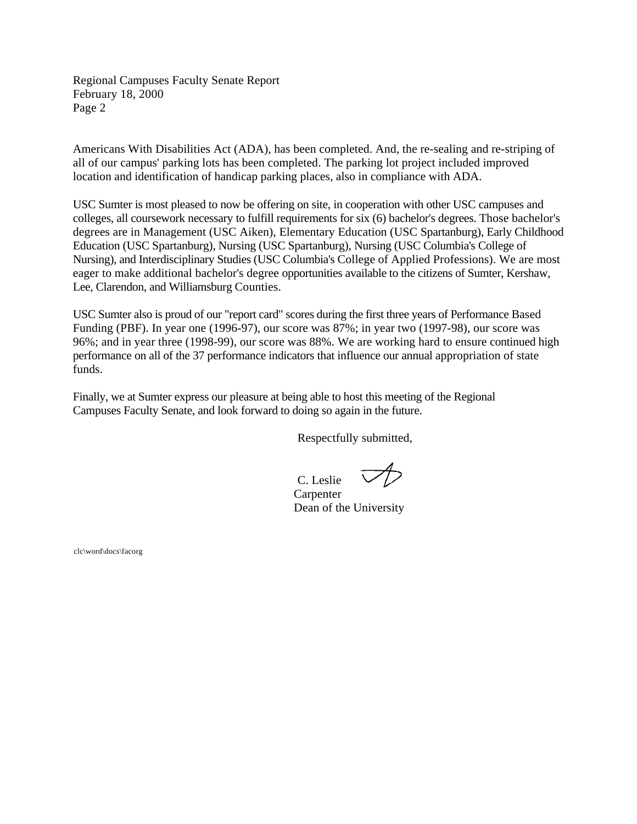Regional Campuses Faculty Senate Report February 18, 2000 Page 2

Americans With Disabilities Act (ADA), has been completed. And, the re-sealing and re-striping of all of our campus' parking lots has been completed. The parking lot project included improved location and identification of handicap parking places, also in compliance with ADA.

USC Sumter is most pleased to now be offering on site, in cooperation with other USC campuses and colleges, all coursework necessary to fulfill requirements for six (6) bachelor's degrees. Those bachelor's degrees are in Management (USC Aiken), Elementary Education (USC Spartanburg), Early Childhood Education (USC Spartanburg), Nursing (USC Spartanburg), Nursing (USC Columbia's College of Nursing), and Interdisciplinary Studies (USC Columbia's College of Applied Professions). We are most eager to make additional bachelor's degree opportunities available to the citizens of Sumter, Kershaw, Lee, Clarendon, and Williamsburg Counties.

USC Sumter also is proud of our "report card" scores during the first three years of Performance Based Funding (PBF). In year one (1996-97), our score was 87%; in year two (1997-98), our score was 96%; and in year three (1998-99), our score was 88%. We are working hard to ensure continued high performance on all of the 37 performance indicators that influence our annual appropriation of state funds.

Finally, we at Sumter express our pleasure at being able to host this meeting of the Regional Campuses Faculty Senate, and look forward to doing so again in the future.

Respectfully submitted,

C. Leslie

**Carpenter** Dean of the University

clc\word\docs\facorg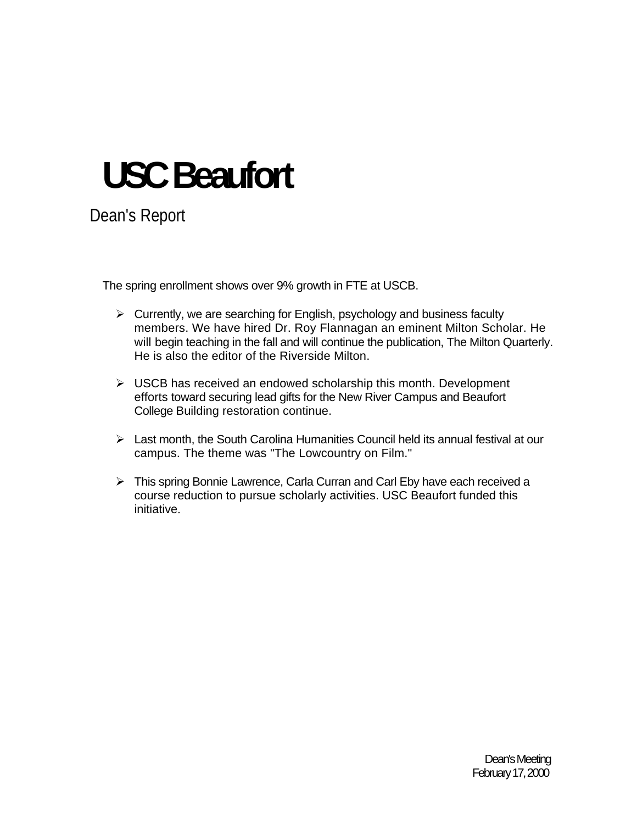# **USC Beaufort**

Dean's Report

The spring enrollment shows over 9% growth in FTE at USCB.

- $\triangleright$  Currently, we are searching for English, psychology and business faculty members. We have hired Dr. Roy Flannagan an eminent Milton Scholar. He will begin teaching in the fall and will continue the publication, The Milton Quarterly. He is also the editor of the Riverside Milton.
- $\triangleright$  USCB has received an endowed scholarship this month. Development efforts toward securing lead gifts for the New River Campus and Beaufort College Building restoration continue.
- $\triangleright$  Last month, the South Carolina Humanities Council held its annual festival at our campus. The theme was "The Lowcountry on Film."
- ¾ This spring Bonnie Lawrence, Carla Curran and Carl Eby have each received a course reduction to pursue scholarly activities. USC Beaufort funded this initiative.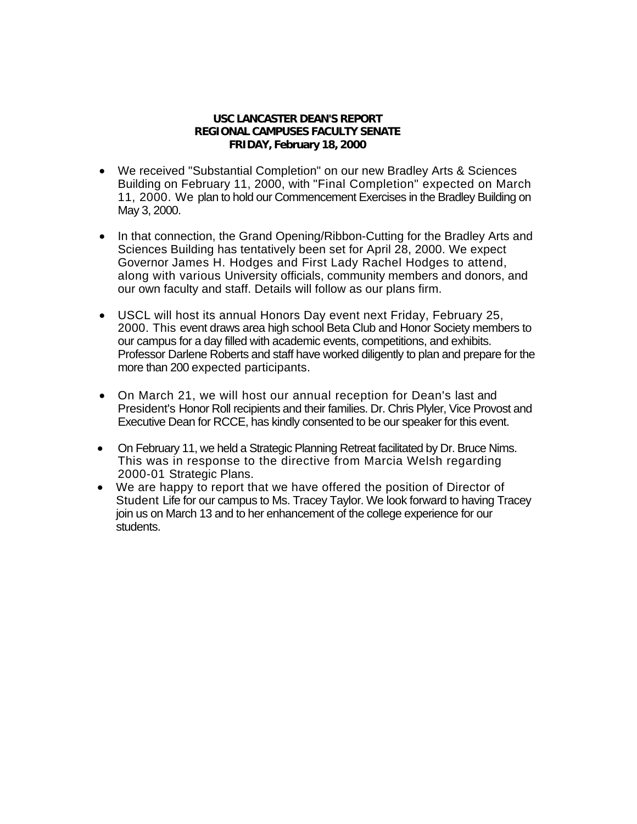## **USC LANCASTER DEAN'S REPORT REGIONAL CAMPUSES FACULTY SENATE FRIDAY, February 18, 2000**

- We received "Substantial Completion" on our new Bradley Arts & Sciences Building on February 11, 2000, with "Final Completion" expected on March 11, 2000. We plan to hold our Commencement Exercises in the Bradley Building on May 3, 2000.
- In that connection, the Grand Opening/Ribbon-Cutting for the Bradley Arts and Sciences Building has tentatively been set for April 28, 2000. We expect Governor James H. Hodges and First Lady Rachel Hodges to attend, along with various University officials, community members and donors, and our own faculty and staff. Details will follow as our plans firm.
- USCL will host its annual Honors Day event next Friday, February 25, 2000. This event draws area high school Beta Club and Honor Society members to our campus for a day filled with academic events, competitions, and exhibits. Professor Darlene Roberts and staff have worked diligently to plan and prepare for the more than 200 expected participants.
- On March 21, we will host our annual reception for Dean's last and President's Honor Roll recipients and their families. Dr. Chris Plyler, Vice Provost and Executive Dean for RCCE, has kindly consented to be our speaker for this event.
- On February 11, we held a Strategic Planning Retreat facilitated by Dr. Bruce Nims. This was in response to the directive from Marcia Welsh regarding 2000-01 Strategic Plans.
- We are happy to report that we have offered the position of Director of Student Life for our campus to Ms. Tracey Taylor. We look forward to having Tracey join us on March 13 and to her enhancement of the college experience for our students.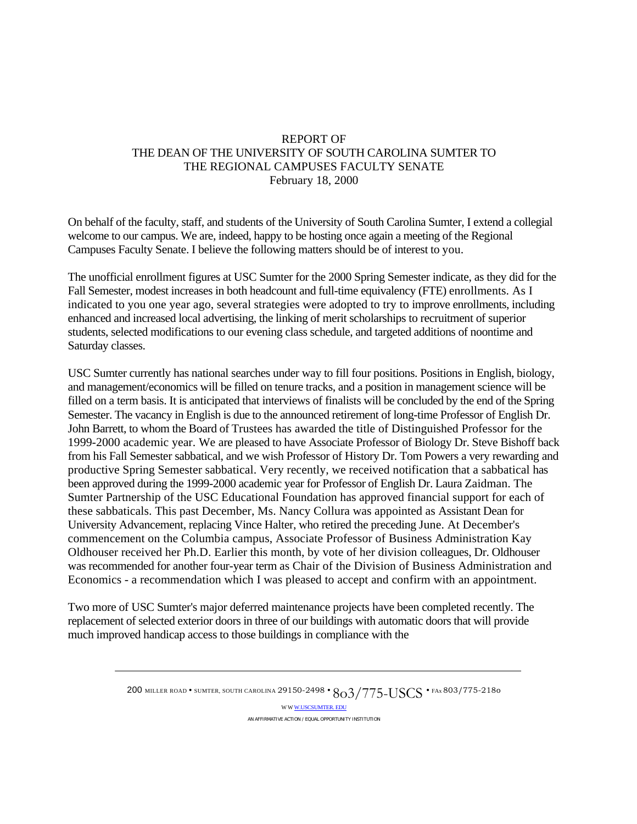# REPORT OF THE DEAN OF THE UNIVERSITY OF SOUTH CAROLINA SUMTER TO THE REGIONAL CAMPUSES FACULTY SENATE February 18, 2000

On behalf of the faculty, staff, and students of the University of South Carolina Sumter, I extend a collegial welcome to our campus. We are, indeed, happy to be hosting once again a meeting of the Regional Campuses Faculty Senate. I believe the following matters should be of interest to you.

The unofficial enrollment figures at USC Sumter for the 2000 Spring Semester indicate, as they did for the Fall Semester, modest increases in both headcount and full-time equivalency (FTE) enrollments. As I indicated to you one year ago, several strategies were adopted to try to improve enrollments, including enhanced and increased local advertising, the linking of merit scholarships to recruitment of superior students, selected modifications to our evening class schedule, and targeted additions of noontime and Saturday classes.

USC Sumter currently has national searches under way to fill four positions. Positions in English, biology, and management/economics will be filled on tenure tracks, and a position in management science will be filled on a term basis. It is anticipated that interviews of finalists will be concluded by the end of the Spring Semester. The vacancy in English is due to the announced retirement of long-time Professor of English Dr. John Barrett, to whom the Board of Trustees has awarded the title of Distinguished Professor for the 1999-2000 academic year. We are pleased to have Associate Professor of Biology Dr. Steve Bishoff back from his Fall Semester sabbatical, and we wish Professor of History Dr. Tom Powers a very rewarding and productive Spring Semester sabbatical. Very recently, we received notification that a sabbatical has been approved during the 1999-2000 academic year for Professor of English Dr. Laura Zaidman. The Sumter Partnership of the USC Educational Foundation has approved financial support for each of these sabbaticals. This past December, Ms. Nancy Collura was appointed as Assistant Dean for University Advancement, replacing Vince Halter, who retired the preceding June. At December's commencement on the Columbia campus, Associate Professor of Business Administration Kay Oldhouser received her Ph.D. Earlier this month, by vote of her division colleagues, Dr. Oldhouser was recommended for another four-year term as Chair of the Division of Business Administration and Economics - a recommendation which I was pleased to accept and confirm with an appointment.

Two more of USC Sumter's major deferred maintenance projects have been completed recently. The replacement of selected exterior doors in three of our buildings with automatic doors that will provide much improved handicap access to those buildings in compliance with the

> 200 MILLER ROAD • SUMTER, SOUTH CAROLINA 29150-2498 •  $803/775$ -USCS • FAx 803/775-2180 W W [W.USCSUMTER. EDU](http://w.uscsumter.edu/) AN AFFIRMATIVE ACTION / EQUAL OPPORTUNITY INSTITUTION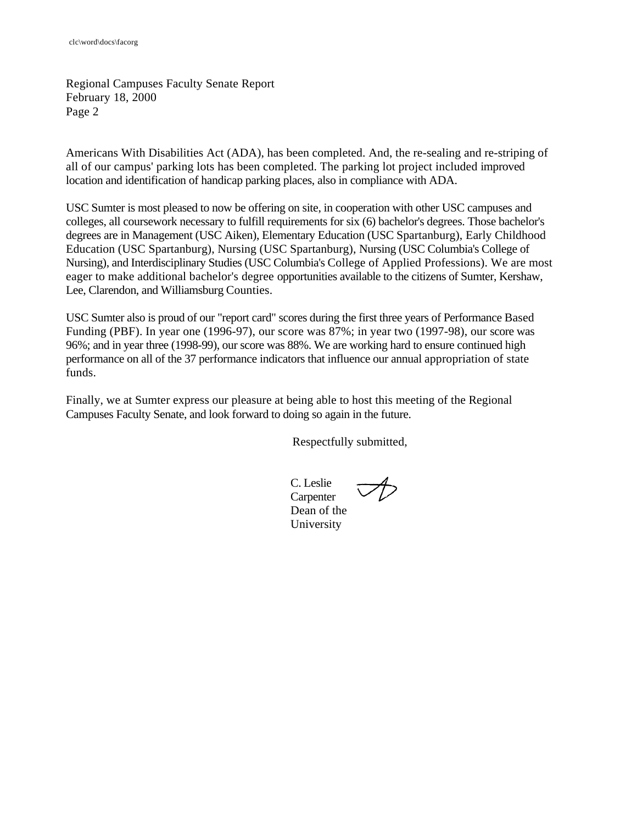Regional Campuses Faculty Senate Report February 18, 2000 Page 2

Americans With Disabilities Act (ADA), has been completed. And, the re-sealing and re-striping of all of our campus' parking lots has been completed. The parking lot project included improved location and identification of handicap parking places, also in compliance with ADA.

USC Sumter is most pleased to now be offering on site, in cooperation with other USC campuses and colleges, all coursework necessary to fulfill requirements for six (6) bachelor's degrees. Those bachelor's degrees are in Management (USC Aiken), Elementary Education (USC Spartanburg), Early Childhood Education (USC Spartanburg), Nursing (USC Spartanburg), Nursing (USC Columbia's College of Nursing), and Interdisciplinary Studies (USC Columbia's College of Applied Professions). We are most eager to make additional bachelor's degree opportunities available to the citizens of Sumter, Kershaw, Lee, Clarendon, and Williamsburg Counties.

USC Sumter also is proud of our "report card" scores during the first three years of Performance Based Funding (PBF). In year one (1996-97), our score was 87%; in year two (1997-98), our score was 96%; and in year three (1998-99), our score was 88%. We are working hard to ensure continued high performance on all of the 37 performance indicators that influence our annual appropriation of state funds.

Finally, we at Sumter express our pleasure at being able to host this meeting of the Regional Campuses Faculty Senate, and look forward to doing so again in the future.

Respectfully submitted,

C. Leslie **Carpenter** Dean of the University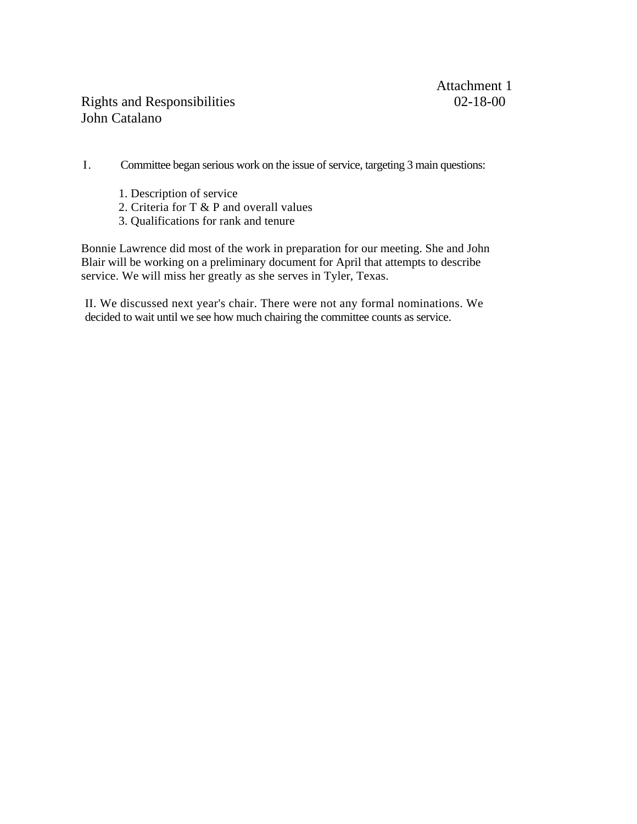# Rights and Responsibilities 02-18-00 John Catalano

I. Committee began serious work on the issue of service, targeting 3 main questions:

- 1. Description of service
- 2. Criteria for T & P and overall values
- 3. Qualifications for rank and tenure

Bonnie Lawrence did most of the work in preparation for our meeting. She and John Blair will be working on a preliminary document for April that attempts to describe service. We will miss her greatly as she serves in Tyler, Texas.

II. We discussed next year's chair. There were not any formal nominations. We decided to wait until we see how much chairing the committee counts as service.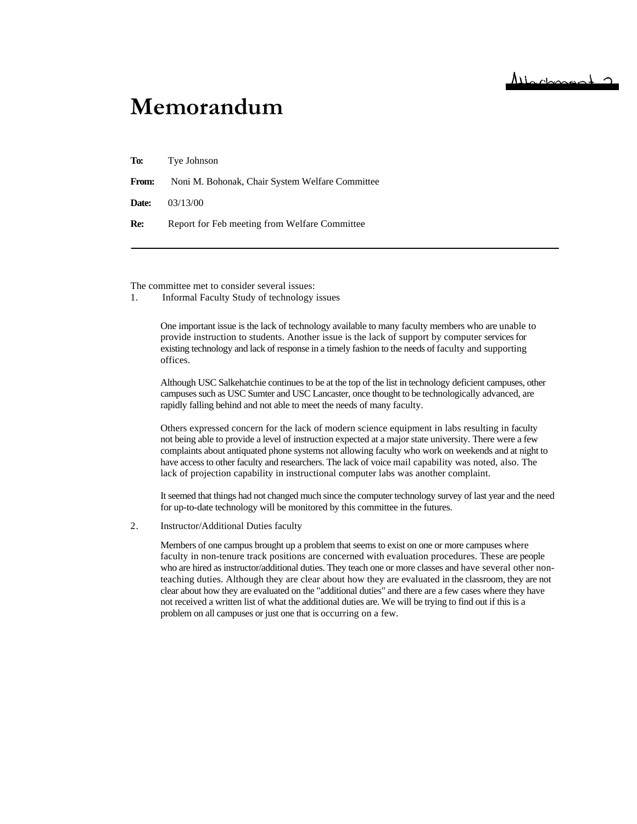# **Memorandum**

**To:** Tye Johnson

**From:** Noni M. Bohonak, Chair System Welfare Committee

**Date:** 03/13/00

**Re:** Report for Feb meeting from Welfare Committee

The committee met to consider several issues:

1. Informal Faculty Study of technology issues

One important issue is the lack of technology available to many faculty members who are unable to provide instruction to students. Another issue is the lack of support by computer services for existing technology and lack of response in a timely fashion to the needs of faculty and supporting offices.

Although USC Salkehatchie continues to be at the top of the list in technology deficient campuses, other campuses such as USC Sumter and USC Lancaster, once thought to be technologically advanced, are rapidly falling behind and not able to meet the needs of many faculty.

Others expressed concern for the lack of modern science equipment in labs resulting in faculty complaints about antiquated phone systems not allowing faculty who work on weekends and at night to not being able to provide a level of instruction expected at a major state university. There were a few have access to other faculty and researchers. The lack of voice mail capability was noted, also. The lack of projection capability in instructional computer labs was another complaint.

It seemed that things had not changed much since the computer technology survey of last year and the need for up-to-date technology will be monitored by this committee in the futures.

2. Instructor/Additional Duties faculty

> Members of one campus brought up a problem that seems to exist on one or more campuses where faculty in non-tenure track positions are concerned with evaluation procedures. These are people who are hired as instructor/additional duties. They teach one or more classes and have several other nonteaching duties. Although they are clear about how they are evaluated in the classroom, they are not clear about how they are evaluated on the "additional duties" and there are a few cases where they have not received a written list of what the additional duties are. We will be trying to find out if this is a problem on all campuses or just one that is occurring on a few.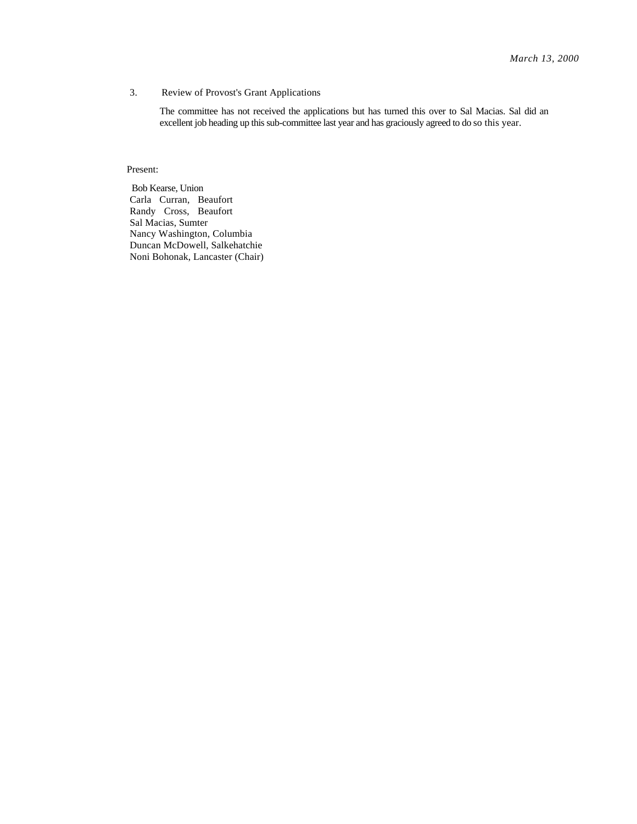#### 3. Review of Provost's Grant Applications

The committee has not received the applications but has turned this over to Sal Macias. Sal did an excellent job heading up this sub-committee last year and has graciously agreed to do so this year.

Present:

Bob Kearse, Union Carla Curran, Beaufort Randy Cross, Beaufort Sal Macias, Sumter Nancy Washington, Columbia Duncan McDowell, Salkehatchie Noni Bohonak, Lancaster (Chair)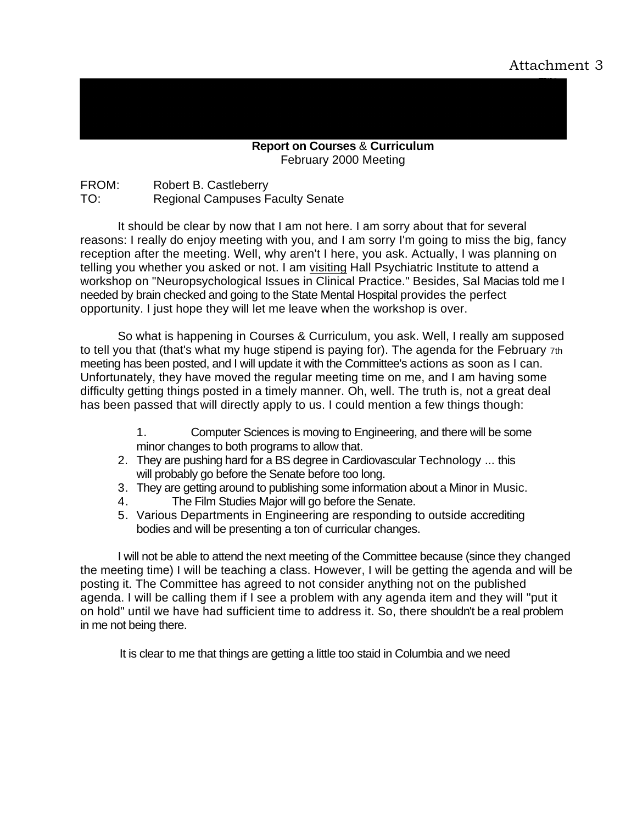**Report on Courses** & **Curriculum**  February 2000 Meeting

FROM: Robert B. Castleberry TO: Regional Campuses Faculty Senate

It should be clear by now that I am not here. I am sorry about that for several reasons: I really do enjoy meeting with you, and I am sorry I'm going to miss the big, fancy reception after the meeting. Well, why aren't I here, you ask. Actually, I was planning on telling you whether you asked or not. I am visiting Hall Psychiatric Institute to attend a workshop on "Neuropsychological Issues in Clinical Practice." Besides, Sal Macias told me I needed by brain checked and going to the State Mental Hospital provides the perfect opportunity. I just hope they will let me leave when the workshop is over.

So what is happening in Courses & Curriculum, you ask. Well, I really am supposed to tell you that (that's what my huge stipend is paying for). The agenda for the February 7th meeting has been posted, and I will update it with the Committee's actions as soon as I can. Unfortunately, they have moved the regular meeting time on me, and I am having some difficulty getting things posted in a timely manner. Oh, well. The truth is, not a great deal has been passed that will directly apply to us. I could mention a few things though:

- 1. Computer Sciences is moving to Engineering, and there will be some minor changes to both programs to allow that.
- 2. They are pushing hard for a BS degree in Cardiovascular Technology ... this will probably go before the Senate before too long.
- 3. They are getting around to publishing some information about a Minor in Music.
- 4. The Film Studies Major will go before the Senate.
- 5. Various Departments in Engineering are responding to outside accrediting bodies and will be presenting a ton of curricular changes.

I will not be able to attend the next meeting of the Committee because (since they changed the meeting time) I will be teaching a class. However, I will be getting the agenda and will be posting it. The Committee has agreed to not consider anything not on the published agenda. I will be calling them if I see a problem with any agenda item and they will "put it on hold" until we have had sufficient time to address it. So, there shouldn't be a real problem in me not being there.

It is clear to me that things are getting a little too staid in Columbia and we need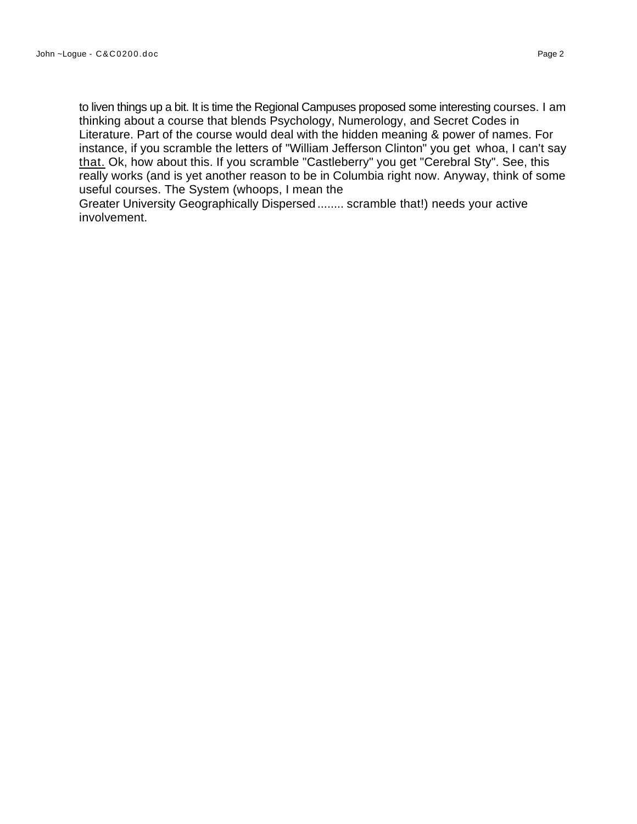to liven things up a bit. It is time the Regional Campuses proposed some interesting courses. I am thinking about a course that blends Psychology, Numerology, and Secret Codes in Literature. Part of the course would deal with the hidden meaning & power of names. For instance, if you scramble the letters of "William Jefferson Clinton" you get whoa, I can't say that. Ok, how about this. If you scramble "Castleberry" you get "Cerebral Sty". See, this really works (and is yet another reason to be in Columbia right now. Anyway, think of some useful courses. The System (whoops, I mean the

Greater University Geographically Dispersed ........ scramble that!) needs your active involvement.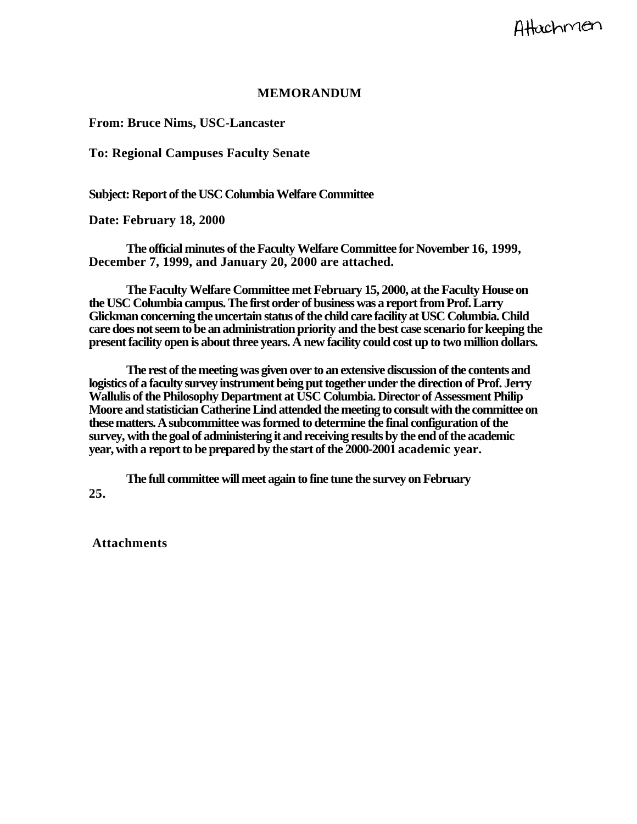# **MEMORANDUM**

**From: Bruce Nims, USC-Lancaster** 

**To: Regional Campuses Faculty Senate** 

**Subject: Report of the USC Columbia Welfare Committee** 

**Date: February 18, 2000** 

**The official minutes of the Faculty Welfare Committee for November 16, 1999, December 7, 1999, and January 20, 2000 are attached.** 

**The Faculty Welfare Committee met February 15, 2000, at the Faculty House on the USC Columbia campus. The first order of business was a report from Prof. Larry Glickman concerning the uncertain status of the child care facility at USC Columbia. Child care does not seem to be an administration priority and the best case scenario for keeping the present facility open is about three years. A new facility could cost up to two million dollars.** 

**The rest of the meeting was given over to an extensive discussion of the contents and logistics of a faculty survey instrument being put together under the direction of Prof. Jerry Wallulis of the Philosophy Department at USC Columbia. Director of Assessment Philip Moore and statistician Catherine Lind attended the meeting to consult with the committee on these matters. A subcommittee was formed to determine the final configuration of the survey, with the goal of administering it and receiving results by the end of the academic year, with a report to be prepared by the start of the 2000-2001 academic year.** 

**The full committee will meet again to fine tune the survey on February 25.** 

**Attachments**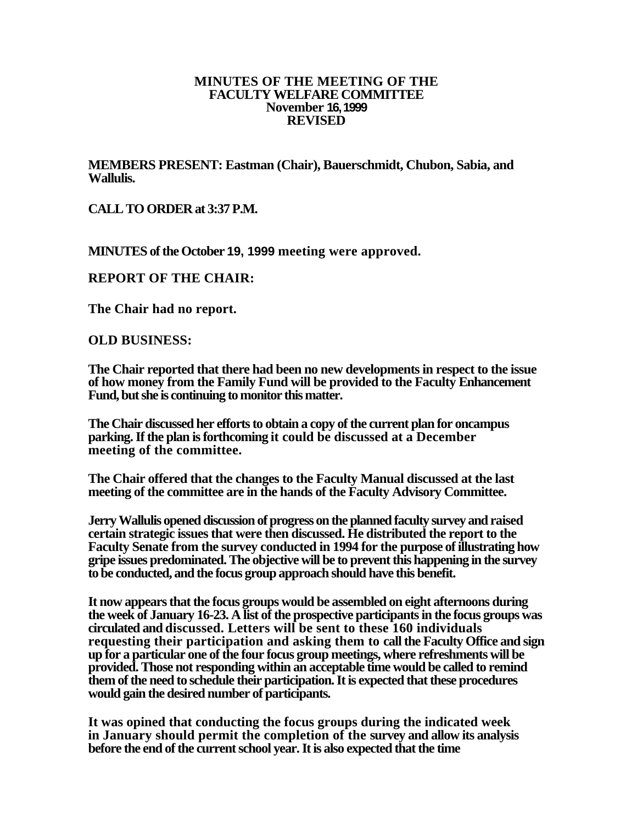# **MINUTES OF THE MEETING OF THE FACULTY WELFARE COMMITTEE November 16, 1999 REVISED**

**MEMBERS PRESENT: Eastman (Chair), Bauerschmidt, Chubon, Sabia, and Wallulis.** 

**CALL TO ORDER at 3:37 P.M.** 

**MINUTES of the October 19, 1999 meeting were approved.** 

# **REPORT OF THE CHAIR:**

**The Chair had no report.** 

**OLD BUSINESS:** 

**The Chair reported that there had been no new developments in respect to the issue of how money from the Family Fund will be provided to the Faculty Enhancement Fund, but she is continuing to monitor this matter.** 

**The Chair discussed her efforts to obtain a copy of the current plan for oncampus parking. If the plan is forthcoming it could be discussed at a December meeting of the committee.** 

**The Chair offered that the changes to the Faculty Manual discussed at the last meeting of the committee are in the hands of the Faculty Advisory Committee.** 

**Jerry Wallulis opened discussion of progress on the planned faculty survey and raised certain strategic issues that were then discussed. He distributed the report to the Faculty Senate from the survey conducted in 1994 for the purpose of illustrating how gripe issues predominated. The objective will be to prevent this happening in the survey to be conducted, and the focus group approach should have this benefit.** 

**It now appears that the focus groups would be assembled on eight afternoons during the week of January 16-23. A list of the prospective participants in the focus groups was circulated and discussed. Letters will be sent to these 160 individuals requesting their participation and asking them to call the Faculty Office and sign up for a particular one of the four focus group meetings, where refreshments will be provided. Those not responding within an acceptable time would be called to remind them of the need to schedule their participation. It is expected that these procedures would gain the desired number of participants.** 

**It was opined that conducting the focus groups during the indicated week in January should permit the completion of the survey and allow its analysis before the end of the current school year. It is also expected that the time**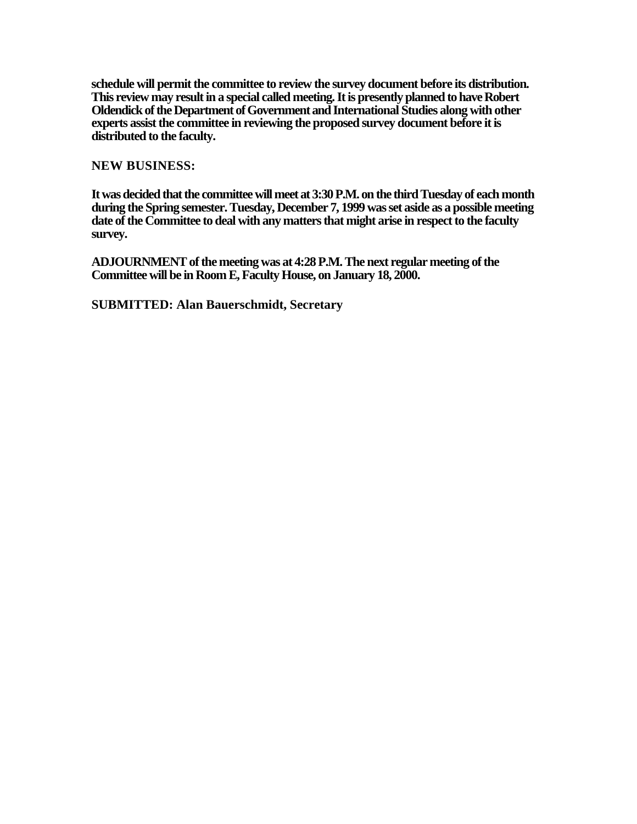**schedule will permit the committee to review the survey document before its distribution. This review may result in a special called meeting. It is presently planned to have Robert Oldendick of the Department of Government and International Studies along with other experts assist the committee in reviewing the proposed survey document before it is distributed to the faculty.** 

**NEW BUSINESS:** 

**It was decided that the committee will meet at 3:30 P.M. on the third Tuesday of each month during the Spring semester. Tuesday, December 7, 1999 was set aside as a possible meeting date of the Committee to deal with any matters that might arise in respect to the faculty survey.** 

**ADJOURNMENT of the meeting was at 4:28 P.M. The next regular meeting of the Committee will be in Room E, Faculty House, on January 18, 2000.** 

**SUBMITTED: Alan Bauerschmidt, Secretary**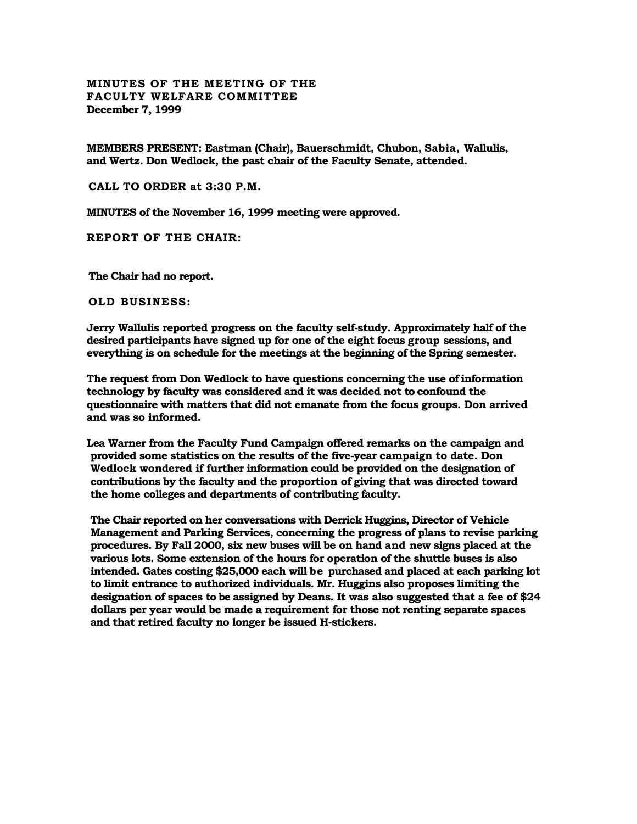#### **MINUTES OF THE MEETING OF THE FACULTY WELFARE COMMITTEE December 7, 1999**

**MEMBERS PRESENT: Eastman (Chair), Bauerschmidt, Chubon, Sabia, Wallulis, and Wertz. Don Wedlock, the past chair of the Faculty Senate, attended.** 

**CALL TO ORDER at 3:30 P.M.** 

**MINUTES of the November 16, 1999 meeting were approved.** 

**REPORT OF THE CHAIR:** 

**The Chair had no report.** 

**OLD BUSINESS:** 

**Jerry Wallulis reported progress on the faculty self-study. Approximately half of the desired participants have signed up for one of the eight focus group sessions, and everything is on schedule for the meetings at the beginning of the Spring semester.** 

**The request from Don Wedlock to have questions concerning the use of information technology by faculty was considered and it was decided not to confound the questionnaire with matters that did not emanate from the focus groups. Don arrived and was so informed.** 

**Lea Warner from the Faculty Fund Campaign offered remarks on the campaign and provided some statistics on the results of the five-year campaign to date. Don Wedlock wondered if further information could be provided on the designation of contributions by the faculty and the proportion of giving that was directed toward the home colleges and departments of contributing faculty.** 

**The Chair reported on her conversations with Derrick Huggins, Director of Vehicle Management and Parking Services, concerning the progress of plans to revise parking procedures. By Fall 2000, six new buses will be on hand and new signs placed at the various lots. Some extension of the hours for operation of the shuttle buses is also intended. Gates costing \$25,000 each will be purchased and placed at each parking lot to limit entrance to authorized individuals. Mr. Huggins also proposes limiting the designation of spaces to be assigned by Deans. It was also suggested that a fee of \$24 dollars per year would be made a requirement for those not renting separate spaces and that retired faculty no longer be issued H-stickers.**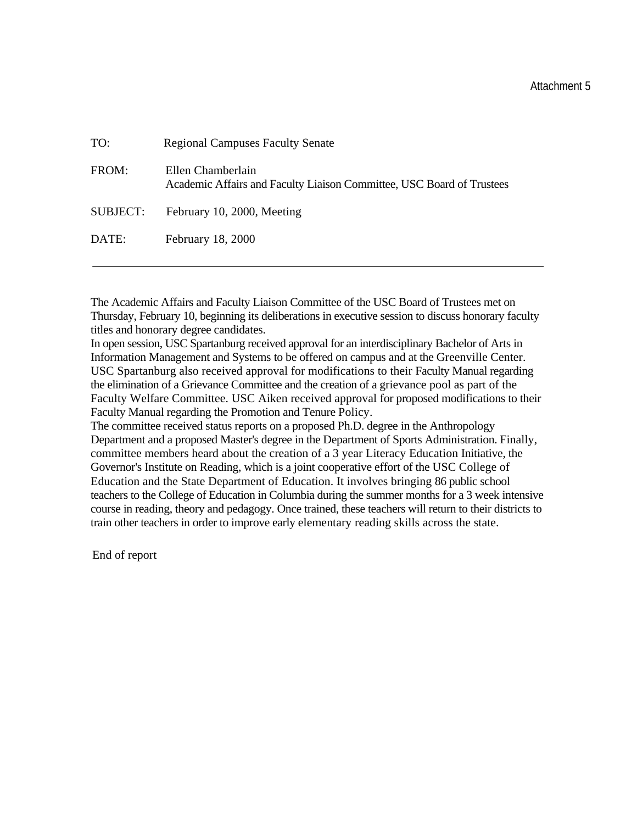# Attachment 5

| TO:      | <b>Regional Campuses Faculty Senate</b>                                                    |
|----------|--------------------------------------------------------------------------------------------|
| FROM:    | Ellen Chamberlain<br>Academic Affairs and Faculty Liaison Committee, USC Board of Trustees |
| SUBJECT: | February 10, 2000, Meeting                                                                 |
| DATE:    | February 18, 2000                                                                          |

The Academic Affairs and Faculty Liaison Committee of the USC Board of Trustees met on Thursday, February 10, beginning its deliberations in executive session to discuss honorary faculty titles and honorary degree candidates.

In open session, USC Spartanburg received approval for an interdisciplinary Bachelor of Arts in Information Management and Systems to be offered on campus and at the Greenville Center. USC Spartanburg also received approval for modifications to their Faculty Manual regarding the elimination of a Grievance Committee and the creation of a grievance pool as part of the Faculty Welfare Committee. USC Aiken received approval for proposed modifications to their Faculty Manual regarding the Promotion and Tenure Policy.

The committee received status reports on a proposed Ph.D. degree in the Anthropology Department and a proposed Master's degree in the Department of Sports Administration. Finally, committee members heard about the creation of a 3 year Literacy Education Initiative, the Governor's Institute on Reading, which is a joint cooperative effort of the USC College of Education and the State Department of Education. It involves bringing 86 public school teachers to the College of Education in Columbia during the summer months for a 3 week intensive course in reading, theory and pedagogy. Once trained, these teachers will return to their districts to train other teachers in order to improve early elementary reading skills across the state.

End of report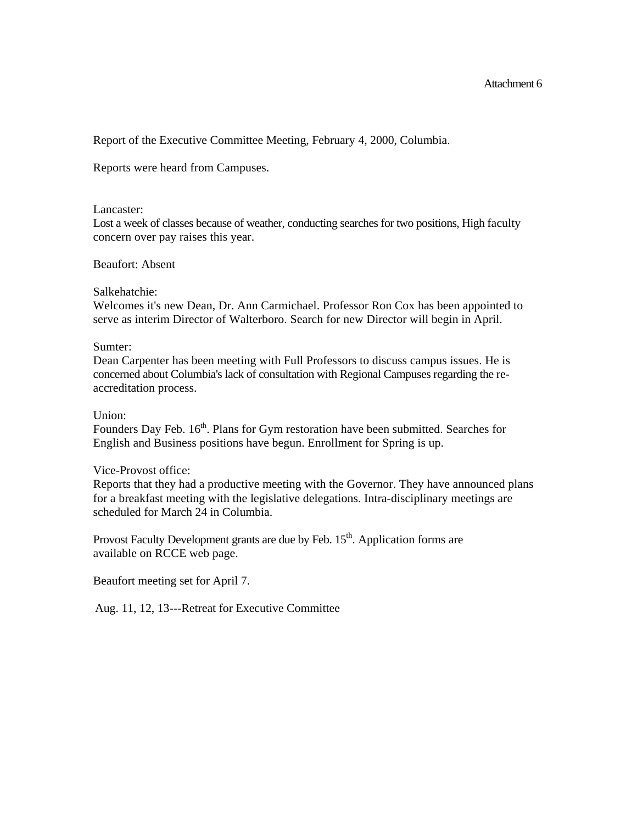Report of the Executive Committee Meeting, February 4, 2000, Columbia.

Reports were heard from Campuses.

#### Lancaster:

Lost a week of classes because of weather, conducting searches for two positions, High faculty concern over pay raises this year.

#### Beaufort: Absent

## Salkehatchie:

Welcomes it's new Dean, Dr. Ann Carmichael. Professor Ron Cox has been appointed to serve as interim Director of Walterboro. Search for new Director will begin in April.

## Sumter:

Dean Carpenter has been meeting with Full Professors to discuss campus issues. He is concerned about Columbia's lack of consultation with Regional Campuses regarding the reaccreditation process.

#### Union:

Founders Day Feb. 16<sup>th</sup>. Plans for Gym restoration have been submitted. Searches for English and Business positions have begun. Enrollment for Spring is up.

## Vice-Provost office:

Reports that they had a productive meeting with the Governor. They have announced plans for a breakfast meeting with the legislative delegations. Intra-disciplinary meetings are scheduled for March 24 in Columbia.

Provost Faculty Development grants are due by Feb.  $15<sup>th</sup>$ . Application forms are available on RCCE web page.

Beaufort meeting set for April 7.

Aug. 11, 12, 13---Retreat for Executive Committee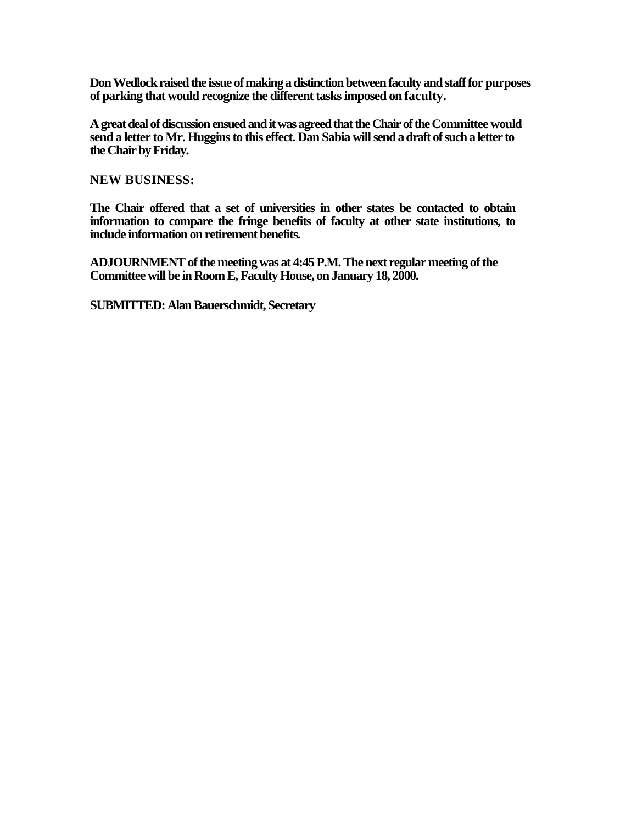**Don Wedlock raised the issue of making a distinction between faculty and staff for purposes of parking that would recognize the different tasks imposed on faculty.** 

**A great deal of discussion ensued and it was agreed that the Chair of the Committee would send a letter to Mr. Huggins to this effect. Dan Sabia will send a draft of such a letter to the Chair by Friday.** 

**NEW BUSINESS:** 

**The Chair offered that a set of universities in other states be contacted to obtain information to compare the fringe benefits of faculty at other state institutions, to include information on retirement benefits.** 

**ADJOURNMENT of the meeting was at 4:45 P.M. The next regular meeting of the Committee will be in Room E, Faculty House, on January 18, 2000.** 

**SUBMITTED: Alan Bauerschmidt, Secretary**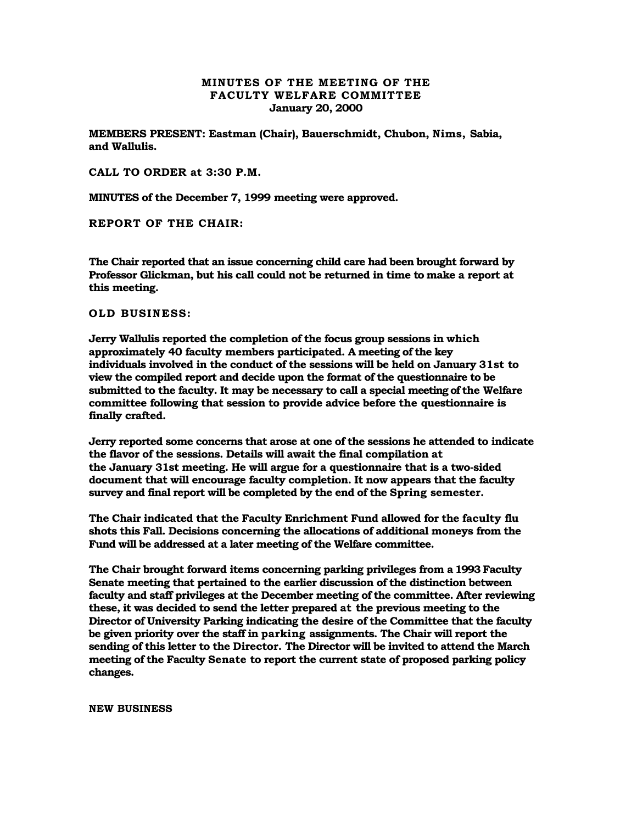#### **MINUTES OF THE MEETING OF THE FACULTY WELFARE COMMITTEE January 20, 2000**

**MEMBERS PRESENT: Eastman (Chair), Bauerschmidt, Chubon, Nims, Sabia, and Wallulis.** 

**CALL TO ORDER at 3:30 P.M.** 

**MINUTES of the December 7, 1999 meeting were approved.** 

**REPORT OF THE CHAIR:** 

**The Chair reported that an issue concerning child care had been brought forward by Professor Glickman, but his call could not be returned in time to make a report at this meeting.** 

**OLD BUSINESS:** 

**Jerry Wallulis reported the completion of the focus group sessions in which approximately 40 faculty members participated. A meeting of the key individuals involved in the conduct of the sessions will be held on January 31st to view the compiled report and decide upon the format of the questionnaire to be submitted to the faculty. It may be necessary to call a special meeting of the Welfare committee following that session to provide advice before the questionnaire is finally crafted.** 

**Jerry reported some concerns that arose at one of the sessions he attended to indicate the flavor of the sessions. Details will await the final compilation at the January 31st meeting. He will argue for a questionnaire that is a two-sided document that will encourage faculty completion. It now appears that the faculty survey and final report will be completed by the end of the Spring semester.** 

**The Chair indicated that the Faculty Enrichment Fund allowed for the faculty flu shots this Fall. Decisions concerning the allocations of additional moneys from the Fund will be addressed at a later meeting of the Welfare committee.** 

**The Chair brought forward items concerning parking privileges from a 1993 Faculty Senate meeting that pertained to the earlier discussion of the distinction between faculty and staff privileges at the December meeting of the committee. After reviewing these, it was decided to send the letter prepared at the previous meeting to the Director of University Parking indicating the desire of the Committee that the faculty be given priority over the staff in parking assignments. The Chair will report the sending of this letter to the Director. The Director will be invited to attend the March meeting of the Faculty Senate to report the current state of proposed parking policy changes.** 

**NEW BUSINESS**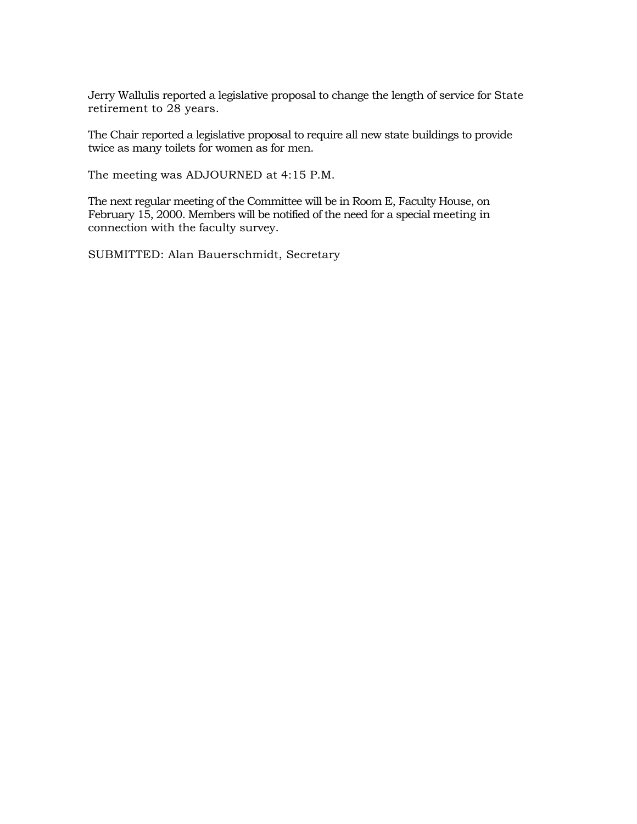Jerry Wallulis reported a legislative proposal to change the length of service for State retirement to 28 years.

The Chair reported a legislative proposal to require all new state buildings to provide twice as many toilets for women as for men.

The meeting was ADJOURNED at 4:15 P.M.

The next regular meeting of the Committee will be in Room E, Faculty House, on February 15, 2000. Members will be notified of the need for a special meeting in connection with the faculty survey.

SUBMITTED: Alan Bauerschmidt, Secretary